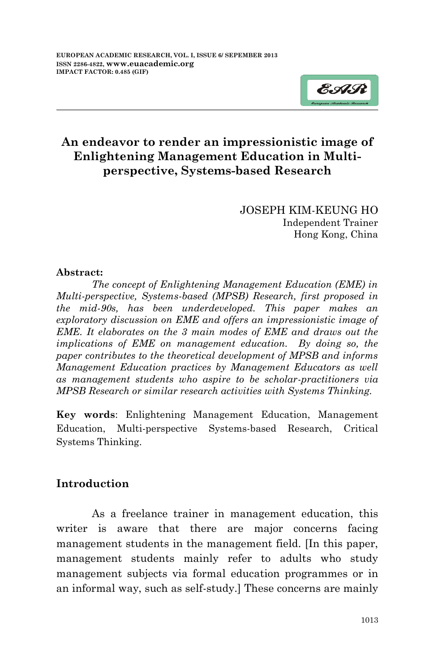

JOSEPH KIM-KEUNG HO Independent Trainer Hong Kong, China

### **Abstract:**

*The concept of Enlightening Management Education (EME) in Multi-perspective, Systems-based (MPSB) Research, first proposed in the mid-90s, has been underdeveloped. This paper makes an exploratory discussion on EME and offers an impressionistic image of EME. It elaborates on the 3 main modes of EME and draws out the implications of EME on management education. By doing so, the paper contributes to the theoretical development of MPSB and informs Management Education practices by Management Educators as well as management students who aspire to be scholar-practitioners via MPSB Research or similar research activities with Systems Thinking.*

**Key words**: Enlightening Management Education, Management Education, Multi-perspective Systems-based Research, Critical Systems Thinking.

## **Introduction**

As a freelance trainer in management education, this writer is aware that there are major concerns facing management students in the management field. [In this paper, management students mainly refer to adults who study management subjects via formal education programmes or in an informal way, such as self-study.] These concerns are mainly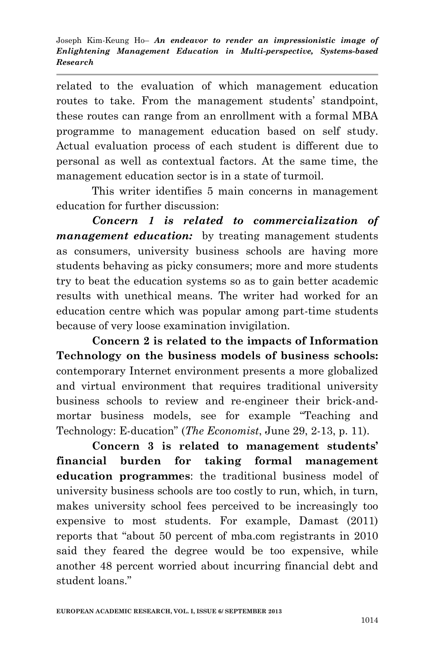related to the evaluation of which management education routes to take. From the management students' standpoint, these routes can range from an enrollment with a formal MBA programme to management education based on self study. Actual evaluation process of each student is different due to personal as well as contextual factors. At the same time, the management education sector is in a state of turmoil.

This writer identifies 5 main concerns in management education for further discussion:

*Concern 1 is related to commercialization of management education:* by treating management students as consumers, university business schools are having more students behaving as picky consumers; more and more students try to beat the education systems so as to gain better academic results with unethical means. The writer had worked for an education centre which was popular among part-time students because of very loose examination invigilation.

**Concern 2 is related to the impacts of Information Technology on the business models of business schools:** contemporary Internet environment presents a more globalized and virtual environment that requires traditional university business schools to review and re-engineer their brick-andmortar business models, see for example "Teaching and Technology: E-ducation" (*The Economist*, June 29, 2-13, p. 11).

**Concern 3 is related to management students' financial burden for taking formal management education programmes**: the traditional business model of university business schools are too costly to run, which, in turn, makes university school fees perceived to be increasingly too expensive to most students. For example, Damast (2011) reports that "about 50 percent of mba.com registrants in 2010 said they feared the degree would be too expensive, while another 48 percent worried about incurring financial debt and student loans."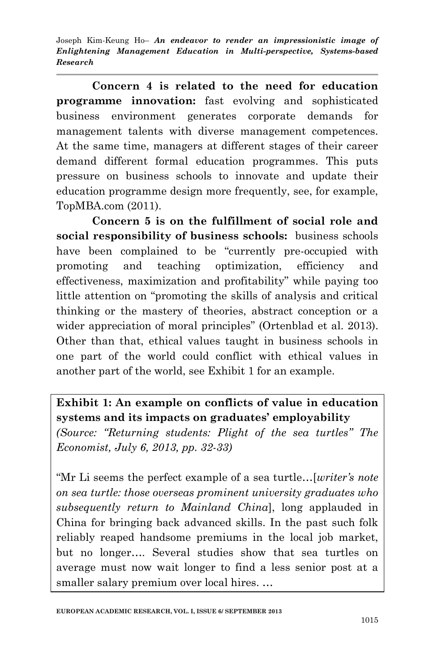**Concern 4 is related to the need for education programme innovation:** fast evolving and sophisticated business environment generates corporate demands for management talents with diverse management competences. At the same time, managers at different stages of their career demand different formal education programmes. This puts pressure on business schools to innovate and update their education programme design more frequently, see, for example, TopMBA.com (2011).

**Concern 5 is on the fulfillment of social role and social responsibility of business schools:** business schools have been complained to be "currently pre-occupied with promoting and teaching optimization, efficiency and effectiveness, maximization and profitability" while paying too little attention on "promoting the skills of analysis and critical thinking or the mastery of theories, abstract conception or a wider appreciation of moral principles" (Ortenblad et al. 2013). Other than that, ethical values taught in business schools in one part of the world could conflict with ethical values in another part of the world, see Exhibit 1 for an example.

**Exhibit 1: An example on conflicts of value in education systems and its impacts on graduates' employability**

*(Source: "Returning students: Plight of the sea turtles" The Economist, July 6, 2013, pp. 32-33)*

"Mr Li seems the perfect example of a sea turtle…[*writer's note on sea turtle: those overseas prominent university graduates who subsequently return to Mainland China*], long applauded in China for bringing back advanced skills. In the past such folk reliably reaped handsome premiums in the local job market, but no longer…. Several studies show that sea turtles on average must now wait longer to find a less senior post at a smaller salary premium over local hires. …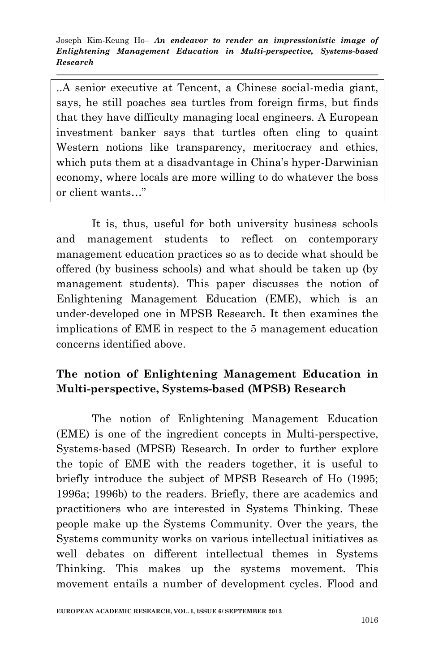..A senior executive at Tencent, a Chinese social-media giant, says, he still poaches sea turtles from foreign firms, but finds that they have difficulty managing local engineers. A European investment banker says that turtles often cling to quaint Western notions like transparency, meritocracy and ethics, which puts them at a disadvantage in China's hyper-Darwinian economy, where locals are more willing to do whatever the boss or client wants…"

It is, thus, useful for both university business schools and management students to reflect on contemporary management education practices so as to decide what should be offered (by business schools) and what should be taken up (by management students). This paper discusses the notion of Enlightening Management Education (EME), which is an under-developed one in MPSB Research. It then examines the implications of EME in respect to the 5 management education concerns identified above.

# **The notion of Enlightening Management Education in Multi-perspective, Systems-based (MPSB) Research**

The notion of Enlightening Management Education (EME) is one of the ingredient concepts in Multi-perspective, Systems-based (MPSB) Research. In order to further explore the topic of EME with the readers together, it is useful to briefly introduce the subject of MPSB Research of Ho (1995; 1996a; 1996b) to the readers. Briefly, there are academics and practitioners who are interested in Systems Thinking. These people make up the Systems Community. Over the years, the Systems community works on various intellectual initiatives as well debates on different intellectual themes in Systems Thinking. This makes up the systems movement. This movement entails a number of development cycles. Flood and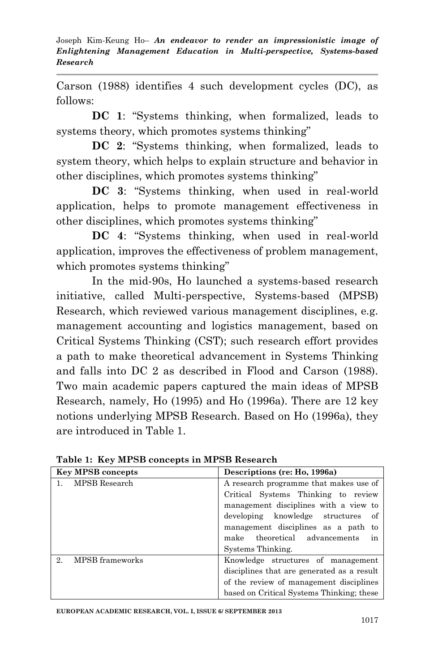Carson (1988) identifies 4 such development cycles (DC), as follows:

**DC 1**: "Systems thinking, when formalized, leads to systems theory, which promotes systems thinking"

**DC 2**: "Systems thinking, when formalized, leads to system theory, which helps to explain structure and behavior in other disciplines, which promotes systems thinking"

**DC 3**: "Systems thinking, when used in real-world application, helps to promote management effectiveness in other disciplines, which promotes systems thinking"

**DC 4**: "Systems thinking, when used in real-world application, improves the effectiveness of problem management, which promotes systems thinking"

In the mid-90s, Ho launched a systems-based research initiative, called Multi-perspective, Systems-based (MPSB) Research, which reviewed various management disciplines, e.g. management accounting and logistics management, based on Critical Systems Thinking (CST); such research effort provides a path to make theoretical advancement in Systems Thinking and falls into DC 2 as described in Flood and Carson (1988). Two main academic papers captured the main ideas of MPSB Research, namely, Ho (1995) and Ho (1996a). There are 12 key notions underlying MPSB Research. Based on Ho (1996a), they are introduced in Table 1.

| <b>Key MPSB concepts</b> | Descriptions (re: Ho, 1996a)               |  |  |
|--------------------------|--------------------------------------------|--|--|
| MPSB Research            | A research programme that makes use of     |  |  |
|                          | Critical Systems Thinking to review        |  |  |
|                          | management disciplines with a view to      |  |  |
|                          | developing knowledge structures<br>of      |  |  |
|                          | management disciplines as a path to        |  |  |
|                          | make theoretical advancements<br>ın        |  |  |
|                          | Systems Thinking.                          |  |  |
| MPSB frameworks<br>2     | Knowledge structures of management         |  |  |
|                          | disciplines that are generated as a result |  |  |
|                          | of the review of management disciplines    |  |  |
|                          | based on Critical Systems Thinking; these  |  |  |

**Table 1: Key MPSB concepts in MPSB Research**

**EUROPEAN ACADEMIC RESEARCH, VOL. I, ISSUE 6/ SEPTEMBER 2013**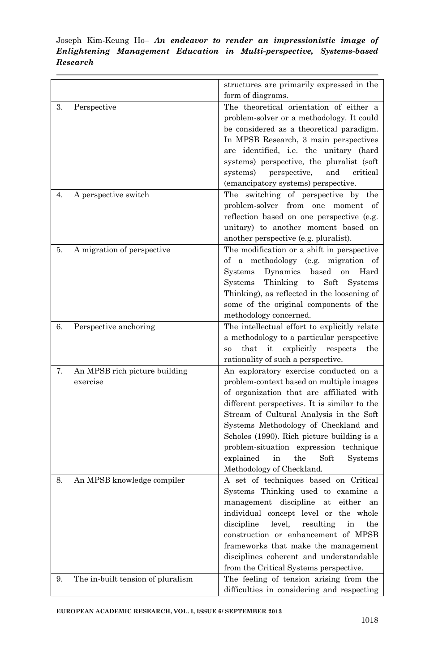|    |                                   | structures are primarily expressed in the                     |
|----|-----------------------------------|---------------------------------------------------------------|
|    |                                   | form of diagrams.                                             |
| 3. | Perspective                       | The theoretical orientation of either a                       |
|    |                                   | problem-solver or a methodology. It could                     |
|    |                                   | be considered as a theoretical paradigm.                      |
|    |                                   | In MPSB Research, 3 main perspectives                         |
|    |                                   | are identified, i.e. the unitary (hard                        |
|    |                                   | systems) perspective, the pluralist (soft                     |
|    |                                   | perspective,<br>systems)<br>and<br>critical                   |
|    |                                   | (emancipatory systems) perspective.                           |
| 4. | A perspective switch              | The switching of perspective by<br>the                        |
|    |                                   | problem-solver from one moment<br>οf                          |
|    |                                   | reflection based on one perspective (e.g.                     |
|    |                                   | unitary) to another moment based on                           |
|    |                                   | another perspective (e.g. pluralist).                         |
| 5. | A migration of perspective        | The modification or a shift in perspective                    |
|    |                                   | of a methodology (e.g. migration of                           |
|    |                                   | Dynamics<br>Systems<br>based<br>on<br>Hard                    |
|    |                                   | Systems<br>Thinking<br>Soft<br>Systems<br>to                  |
|    |                                   | Thinking), as reflected in the loosening of                   |
|    |                                   | some of the original components of the                        |
|    |                                   | methodology concerned.                                        |
| 6. | Perspective anchoring             | The intellectual effort to explicitly relate                  |
|    |                                   | a methodology to a particular perspective                     |
|    |                                   | that<br>it<br>explicitly<br>respects<br>the<br>S <sub>O</sub> |
|    |                                   | rationality of such a perspective.                            |
| 7. | An MPSB rich picture building     | An exploratory exercise conducted on a                        |
|    | exercise                          | problem-context based on multiple images                      |
|    |                                   | of organization that are affiliated with                      |
|    |                                   |                                                               |
|    |                                   | different perspectives. It is similar to the                  |
|    |                                   | Stream of Cultural Analysis in the Soft                       |
|    |                                   | Systems Methodology of Checkland and                          |
|    |                                   | Scholes (1990). Rich picture building is a                    |
|    |                                   | problem-situation expression technique                        |
|    |                                   | explained<br>the<br>Soft<br>Systems<br>in                     |
|    |                                   | Methodology of Checkland.                                     |
| 8. | An MPSB knowledge compiler        | A set of techniques based on Critical                         |
|    |                                   | Systems Thinking used to examine a                            |
|    |                                   | management discipline<br>either<br>at<br>an                   |
|    |                                   | individual concept level or the whole                         |
|    |                                   | discipline<br>level,<br>resulting<br>in<br>the                |
|    |                                   | construction or enhancement of MPSB                           |
|    |                                   | frameworks that make the management                           |
|    |                                   | disciplines coherent and understandable                       |
|    |                                   | from the Critical Systems perspective.                        |
| 9. | The in-built tension of pluralism | The feeling of tension arising from the                       |
|    |                                   | difficulties in considering and respecting                    |

**EUROPEAN ACADEMIC RESEARCH, VOL. I, ISSUE 6/ SEPTEMBER 2013**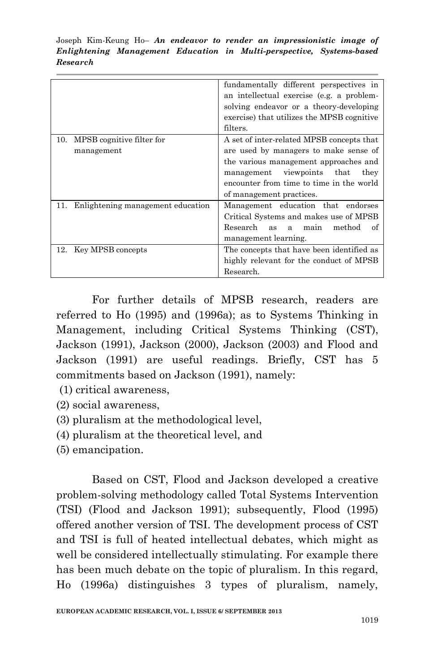|                                                | fundamentally different perspectives in<br>an intellectual exercise (e.g. a problem-<br>solving endeavor or a theory-developing<br>exercise) that utilizes the MPSB cognitive<br>filters.                                                 |
|------------------------------------------------|-------------------------------------------------------------------------------------------------------------------------------------------------------------------------------------------------------------------------------------------|
| MPSB cognitive filter for<br>10.<br>management | A set of inter-related MPSB concepts that<br>are used by managers to make sense of<br>the various management approaches and<br>management viewpoints that<br>they<br>encounter from time to time in the world<br>of management practices. |
| Enlightening management education<br>11.       | Management education that endorses<br>Critical Systems and makes use of MPSB<br>Research<br>method<br>as a main<br>of<br>management learning.                                                                                             |
| Key MPSB concepts<br>12.                       | The concepts that have been identified as<br>highly relevant for the conduct of MPSB<br>Research.                                                                                                                                         |

For further details of MPSB research, readers are referred to Ho (1995) and (1996a); as to Systems Thinking in Management, including Critical Systems Thinking (CST), Jackson (1991), Jackson (2000), Jackson (2003) and Flood and Jackson (1991) are useful readings. Briefly, CST has 5 commitments based on Jackson (1991), namely:

- (1) critical awareness,
- (2) social awareness,
- (3) pluralism at the methodological level,
- (4) pluralism at the theoretical level, and
- (5) emancipation.

Based on CST, Flood and Jackson developed a creative problem-solving methodology called Total Systems Intervention (TSI) (Flood and Jackson 1991); subsequently, Flood (1995) offered another version of TSI. The development process of CST and TSI is full of heated intellectual debates, which might as well be considered intellectually stimulating. For example there has been much debate on the topic of pluralism. In this regard, Ho (1996a) distinguishes 3 types of pluralism, namely,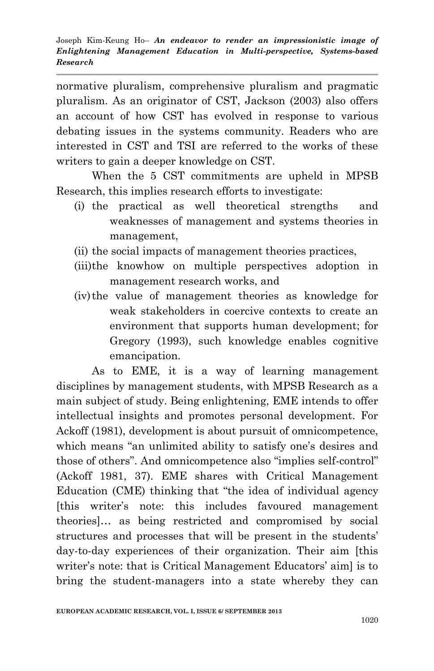normative pluralism, comprehensive pluralism and pragmatic pluralism. As an originator of CST, Jackson (2003) also offers an account of how CST has evolved in response to various debating issues in the systems community. Readers who are interested in CST and TSI are referred to the works of these writers to gain a deeper knowledge on CST.

When the 5 CST commitments are upheld in MPSB Research, this implies research efforts to investigate:

- (i) the practical as well theoretical strengths and weaknesses of management and systems theories in management,
- (ii) the social impacts of management theories practices,
- (iii)the knowhow on multiple perspectives adoption in management research works, and
- (iv)the value of management theories as knowledge for weak stakeholders in coercive contexts to create an environment that supports human development; for Gregory (1993), such knowledge enables cognitive emancipation.

As to EME, it is a way of learning management disciplines by management students, with MPSB Research as a main subject of study. Being enlightening, EME intends to offer intellectual insights and promotes personal development. For Ackoff (1981), development is about pursuit of omnicompetence, which means "an unlimited ability to satisfy one's desires and those of others". And omnicompetence also "implies self-control" (Ackoff 1981, 37). EME shares with Critical Management Education (CME) thinking that "the idea of individual agency [this writer"s note: this includes favoured management theories]… as being restricted and compromised by social structures and processes that will be present in the students' day-to-day experiences of their organization. Their aim [this writer's note: that is Critical Management Educators' aim) is to bring the student-managers into a state whereby they can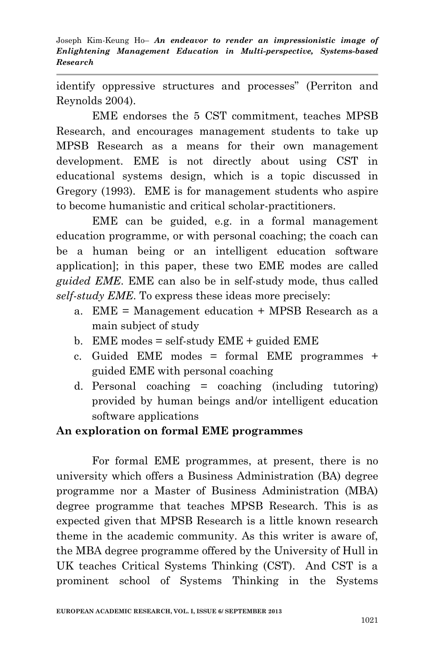identify oppressive structures and processes" (Perriton and Reynolds 2004).

EME endorses the 5 CST commitment, teaches MPSB Research, and encourages management students to take up MPSB Research as a means for their own management development. EME is not directly about using CST in educational systems design, which is a topic discussed in Gregory (1993). EME is for management students who aspire to become humanistic and critical scholar-practitioners.

EME can be guided, e.g. in a formal management education programme, or with personal coaching; the coach can be a human being or an intelligent education software application]; in this paper, these two EME modes are called *guided EME*. EME can also be in self-study mode, thus called *self-study EME*. To express these ideas more precisely:

- a. EME = Management education + MPSB Research as a main subject of study
- b. EME modes  $=$  self-study EME  $+$  guided EME
- c. Guided EME modes = formal EME programmes + guided EME with personal coaching
- d. Personal coaching  $=$  coaching (including tutoring) provided by human beings and/or intelligent education software applications

## **An exploration on formal EME programmes**

For formal EME programmes, at present, there is no university which offers a Business Administration (BA) degree programme nor a Master of Business Administration (MBA) degree programme that teaches MPSB Research. This is as expected given that MPSB Research is a little known research theme in the academic community. As this writer is aware of, the MBA degree programme offered by the University of Hull in UK teaches Critical Systems Thinking (CST). And CST is a prominent school of Systems Thinking in the Systems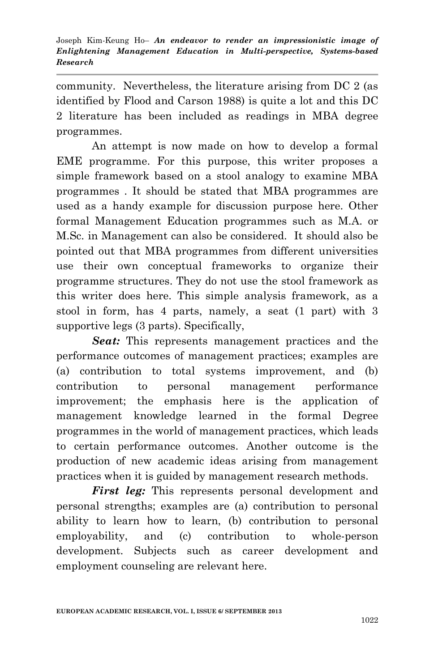community. Nevertheless, the literature arising from DC 2 (as identified by Flood and Carson 1988) is quite a lot and this DC 2 literature has been included as readings in MBA degree programmes.

An attempt is now made on how to develop a formal EME programme. For this purpose, this writer proposes a simple framework based on a stool analogy to examine MBA programmes . It should be stated that MBA programmes are used as a handy example for discussion purpose here. Other formal Management Education programmes such as M.A. or M.Sc. in Management can also be considered. It should also be pointed out that MBA programmes from different universities use their own conceptual frameworks to organize their programme structures. They do not use the stool framework as this writer does here. This simple analysis framework, as a stool in form, has 4 parts, namely, a seat (1 part) with 3 supportive legs (3 parts). Specifically,

*Seat:* This represents management practices and the performance outcomes of management practices; examples are (a) contribution to total systems improvement, and (b) contribution to personal management performance improvement; the emphasis here is the application of management knowledge learned in the formal Degree programmes in the world of management practices, which leads to certain performance outcomes. Another outcome is the production of new academic ideas arising from management practices when it is guided by management research methods.

*First leg:* This represents personal development and personal strengths; examples are (a) contribution to personal ability to learn how to learn, (b) contribution to personal employability, and (c) contribution to whole-person development. Subjects such as career development and employment counseling are relevant here.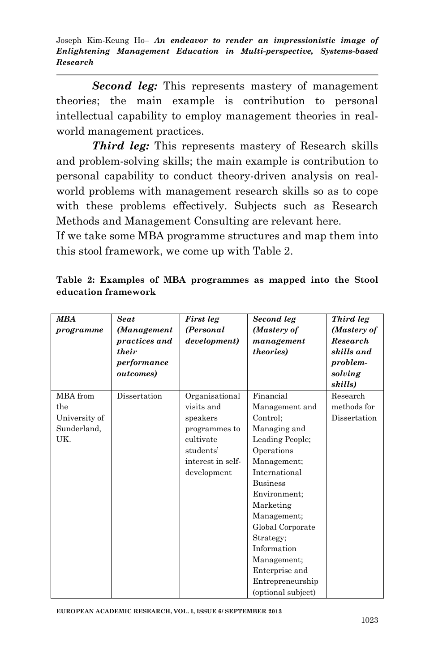*Second leg:* This represents mastery of management theories; the main example is contribution to personal intellectual capability to employ management theories in realworld management practices.

*Third leg:* This represents mastery of Research skills and problem-solving skills; the main example is contribution to personal capability to conduct theory-driven analysis on realworld problems with management research skills so as to cope with these problems effectively. Subjects such as Research Methods and Management Consulting are relevant here.

If we take some MBA programme structures and map them into this stool framework, we come up with Table 2.

| <b>MBA</b><br>programme | <b>Seat</b><br>(Management<br>practices and<br>their<br>performance<br>outcomes) | First leg<br>(Personal<br>development) | Second leg<br>(Mastery of<br>management<br>theories) | Third leg<br>(Mastery of<br>Research<br>skills and<br>problem-<br>solving<br>skills) |
|-------------------------|----------------------------------------------------------------------------------|----------------------------------------|------------------------------------------------------|--------------------------------------------------------------------------------------|
| MBA from                | Dissertation                                                                     | Organisational                         | Financial                                            | Research                                                                             |
| the                     |                                                                                  | visits and                             | Management and                                       | methods for                                                                          |
| University of           |                                                                                  | speakers                               | Control;                                             | Dissertation                                                                         |
| Sunderland,             |                                                                                  | programmes to                          | Managing and                                         |                                                                                      |
| UK.                     |                                                                                  | cultivate                              | Leading People;                                      |                                                                                      |
|                         |                                                                                  | students'                              | Operations                                           |                                                                                      |
|                         |                                                                                  | interest in self-                      | Management:                                          |                                                                                      |
|                         |                                                                                  | development                            | International                                        |                                                                                      |
|                         |                                                                                  |                                        | <b>Business</b>                                      |                                                                                      |
|                         |                                                                                  |                                        | Environment;                                         |                                                                                      |
|                         |                                                                                  |                                        | Marketing                                            |                                                                                      |
|                         |                                                                                  |                                        | Management;                                          |                                                                                      |
|                         |                                                                                  |                                        | Global Corporate                                     |                                                                                      |
|                         |                                                                                  |                                        | Strategy;                                            |                                                                                      |
|                         |                                                                                  |                                        | Information                                          |                                                                                      |
|                         |                                                                                  |                                        | Management;                                          |                                                                                      |
|                         |                                                                                  |                                        | Enterprise and                                       |                                                                                      |
|                         |                                                                                  |                                        | Entrepreneurship                                     |                                                                                      |
|                         |                                                                                  |                                        | (optional subject)                                   |                                                                                      |

**Table 2: Examples of MBA programmes as mapped into the Stool education framework**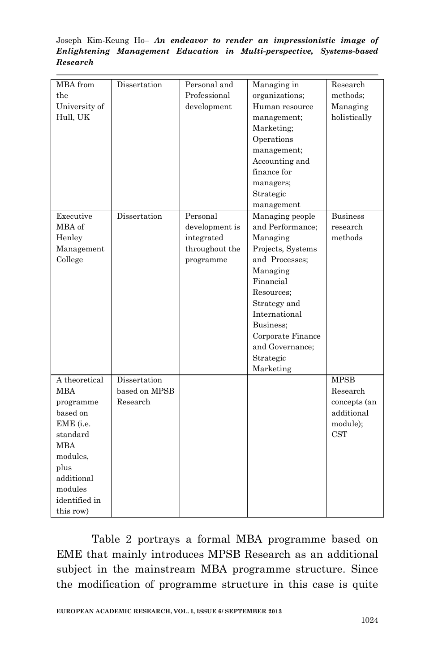| MBA from<br>the<br>University of<br>Hull, UK | Dissertation  | Personal and<br>Professional<br>development | Managing in<br>organizations;<br>Human resource<br>management;<br>Marketing;<br>Operations<br>management;<br>Accounting and<br>finance for<br>managers;<br>Strategic<br>management | Research<br>methods;<br>Managing<br>holistically |
|----------------------------------------------|---------------|---------------------------------------------|------------------------------------------------------------------------------------------------------------------------------------------------------------------------------------|--------------------------------------------------|
| Executive                                    | Dissertation  | Personal                                    | Managing people                                                                                                                                                                    | <b>Business</b>                                  |
| MBA of                                       |               | development is                              | and Performance;                                                                                                                                                                   | research                                         |
| Henley                                       |               | integrated                                  | Managing                                                                                                                                                                           | methods                                          |
| Management                                   |               | throughout the                              | Projects, Systems                                                                                                                                                                  |                                                  |
| College                                      |               | programme                                   | and Processes:                                                                                                                                                                     |                                                  |
|                                              |               |                                             | Managing                                                                                                                                                                           |                                                  |
|                                              |               |                                             | Financial                                                                                                                                                                          |                                                  |
|                                              |               |                                             | Resources:                                                                                                                                                                         |                                                  |
|                                              |               |                                             | Strategy and                                                                                                                                                                       |                                                  |
|                                              |               |                                             | International                                                                                                                                                                      |                                                  |
|                                              |               |                                             | Business;                                                                                                                                                                          |                                                  |
|                                              |               |                                             | Corporate Finance                                                                                                                                                                  |                                                  |
|                                              |               |                                             | and Governance;                                                                                                                                                                    |                                                  |
|                                              |               |                                             | Strategic                                                                                                                                                                          |                                                  |
|                                              |               |                                             | Marketing                                                                                                                                                                          |                                                  |
| A theoretical                                | Dissertation  |                                             |                                                                                                                                                                                    | <b>MPSB</b>                                      |
| MBA                                          | based on MPSB |                                             |                                                                                                                                                                                    | Research                                         |
| programme                                    | Research      |                                             |                                                                                                                                                                                    | concepts (an                                     |
| based on                                     |               |                                             |                                                                                                                                                                                    | additional                                       |
| EME (i.e.                                    |               |                                             |                                                                                                                                                                                    | module);                                         |
| standard                                     |               |                                             |                                                                                                                                                                                    | <b>CST</b>                                       |
| <b>MBA</b>                                   |               |                                             |                                                                                                                                                                                    |                                                  |
| modules,                                     |               |                                             |                                                                                                                                                                                    |                                                  |
| plus                                         |               |                                             |                                                                                                                                                                                    |                                                  |
| additional                                   |               |                                             |                                                                                                                                                                                    |                                                  |
| modules                                      |               |                                             |                                                                                                                                                                                    |                                                  |
| identified in                                |               |                                             |                                                                                                                                                                                    |                                                  |
| this row)                                    |               |                                             |                                                                                                                                                                                    |                                                  |

Table 2 portrays a formal MBA programme based on EME that mainly introduces MPSB Research as an additional subject in the mainstream MBA programme structure. Since the modification of programme structure in this case is quite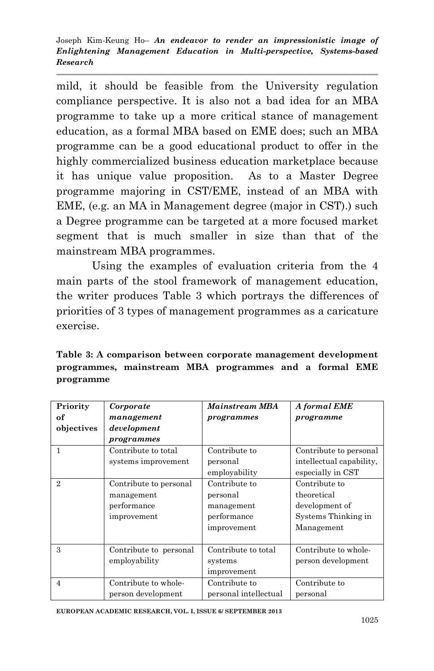mild, it should be feasible from the University regulation compliance perspective. It is also not a bad idea for an MBA programme to take up a more critical stance of management education, as a formal MBA based on EME does; such an MBA programme can be a good educational product to offer in the highly commercialized business education marketplace because it has unique value proposition. As to a Master Degree programme majoring in CST/EME, instead of an MBA with EME, (e.g. an MA in Management degree (major in CST).) such a Degree programme can be targeted at a more focused market segment that is much smaller in size than that of the mainstream MBA programmes.

Using the examples of evaluation criteria from the 4 main parts of the stool framework of management education, the writer produces Table 3 which portrays the differences of priorities of 3 types of management programmes as a caricature exercise.

**Table 3: A comparison between corporate management development programmes, mainstream MBA programmes and a formal EME programme**

| Priority       | Corporate              | <b>Mainstream MBA</b> | A formal EME             |
|----------------|------------------------|-----------------------|--------------------------|
| of             | management             | programmes            | programme                |
| objectives     | development            |                       |                          |
|                | programmes             |                       |                          |
| 1              | Contribute to total    | Contribute to         | Contribute to personal   |
|                | systems improvement    | personal              | intellectual capability, |
|                |                        | employability         | especially in CST        |
| $\mathfrak{D}$ | Contribute to personal | Contribute to         | Contribute to            |
|                | management             | personal              | theoretical              |
|                | performance            | management            | development of           |
|                | improvement            | performance           | Systems Thinking in      |
|                |                        | improvement           | Management               |
|                |                        |                       |                          |
| 3              | Contribute to personal | Contribute to total   | Contribute to whole-     |
|                | employability          | systems               | person development       |
|                |                        | improvement           |                          |
| $\overline{4}$ | Contribute to whole-   | Contribute to         | Contribute to            |
|                | person development     | personal intellectual | personal                 |

**EUROPEAN ACADEMIC RESEARCH, VOL. I, ISSUE 6/ SEPTEMBER 2013**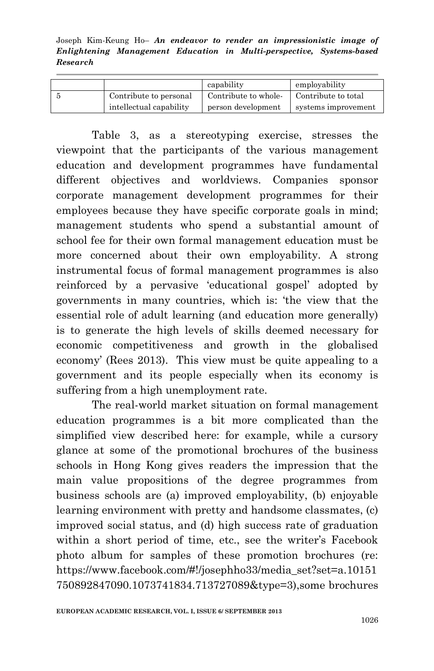|                         | capability           | employability       |
|-------------------------|----------------------|---------------------|
| Contribute to personal  | Contribute to whole- | Contribute to total |
| intellectual capability | person development   | systems improvement |

Table 3, as a stereotyping exercise, stresses the viewpoint that the participants of the various management education and development programmes have fundamental different objectives and worldviews. Companies sponsor corporate management development programmes for their employees because they have specific corporate goals in mind; management students who spend a substantial amount of school fee for their own formal management education must be more concerned about their own employability. A strong instrumental focus of formal management programmes is also reinforced by a pervasive "educational gospel" adopted by governments in many countries, which is: "the view that the essential role of adult learning (and education more generally) is to generate the high levels of skills deemed necessary for economic competitiveness and growth in the globalised economy" (Rees 2013). This view must be quite appealing to a government and its people especially when its economy is suffering from a high unemployment rate.

The real-world market situation on formal management education programmes is a bit more complicated than the simplified view described here: for example, while a cursory glance at some of the promotional brochures of the business schools in Hong Kong gives readers the impression that the main value propositions of the degree programmes from business schools are (a) improved employability, (b) enjoyable learning environment with pretty and handsome classmates, (c) improved social status, and (d) high success rate of graduation within a short period of time, etc., see the writer's Facebook photo album for samples of these promotion brochures (re: [https://www.facebook.com/#!/josephho33/media\\_set?set=a.10151](https://www.facebook.com/#!/josephho33/media_set?set=a.10151750892847090.1073741834.713727089&type=3) [750892847090.1073741834.713727089&type=3\)](https://www.facebook.com/#!/josephho33/media_set?set=a.10151750892847090.1073741834.713727089&type=3),some brochures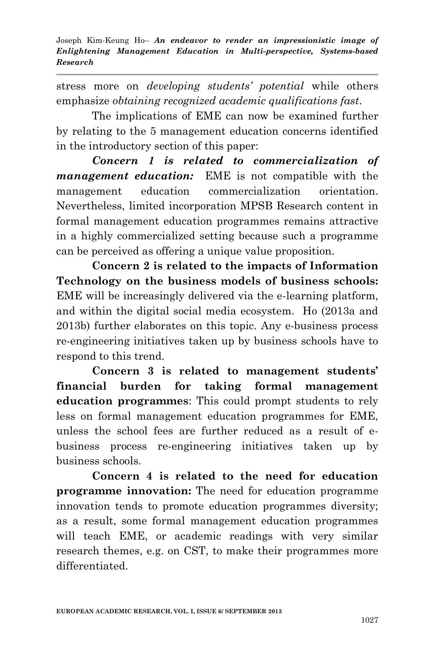stress more on *developing students' potential* while others emphasize *obtaining recognized academic qualifications fast*.

The implications of EME can now be examined further by relating to the 5 management education concerns identified in the introductory section of this paper:

*Concern 1 is related to commercialization of management education:* EME is not compatible with the management education commercialization orientation. Nevertheless, limited incorporation MPSB Research content in formal management education programmes remains attractive in a highly commercialized setting because such a programme can be perceived as offering a unique value proposition.

**Concern 2 is related to the impacts of Information Technology on the business models of business schools:** EME will be increasingly delivered via the e-learning platform, and within the digital social media ecosystem. Ho (2013a and 2013b) further elaborates on this topic. Any e-business process re-engineering initiatives taken up by business schools have to respond to this trend.

**Concern 3 is related to management students' financial burden for taking formal management education programmes**: This could prompt students to rely less on formal management education programmes for EME, unless the school fees are further reduced as a result of ebusiness process re-engineering initiatives taken up by business schools.

**Concern 4 is related to the need for education programme innovation:** The need for education programme innovation tends to promote education programmes diversity; as a result, some formal management education programmes will teach EME, or academic readings with very similar research themes, e.g. on CST, to make their programmes more differentiated.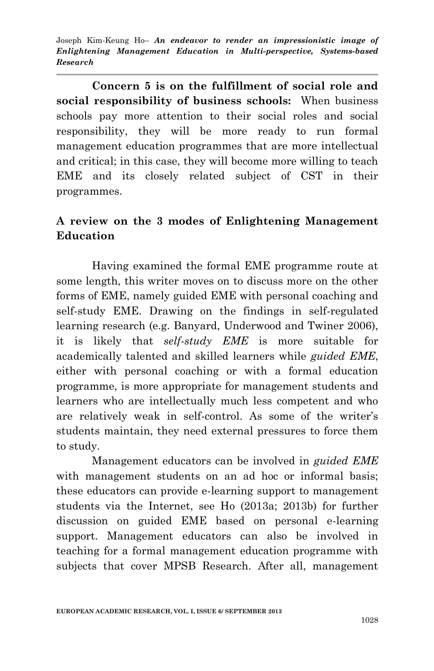**Concern 5 is on the fulfillment of social role and social responsibility of business schools:** When business schools pay more attention to their social roles and social responsibility, they will be more ready to run formal management education programmes that are more intellectual and critical; in this case, they will become more willing to teach EME and its closely related subject of CST in their programmes.

## **A review on the 3 modes of Enlightening Management Education**

Having examined the formal EME programme route at some length, this writer moves on to discuss more on the other forms of EME, namely guided EME with personal coaching and self-study EME. Drawing on the findings in self-regulated learning research (e.g. Banyard, Underwood and Twiner 2006), it is likely that *self-study EME* is more suitable for academically talented and skilled learners while *guided EME*, either with personal coaching or with a formal education programme, is more appropriate for management students and learners who are intellectually much less competent and who are relatively weak in self-control. As some of the writer's students maintain, they need external pressures to force them to study.

Management educators can be involved in *guided EME*  with management students on an ad hoc or informal basis; these educators can provide e-learning support to management students via the Internet, see Ho (2013a; 2013b) for further discussion on guided EME based on personal e-learning support. Management educators can also be involved in teaching for a formal management education programme with subjects that cover MPSB Research. After all, management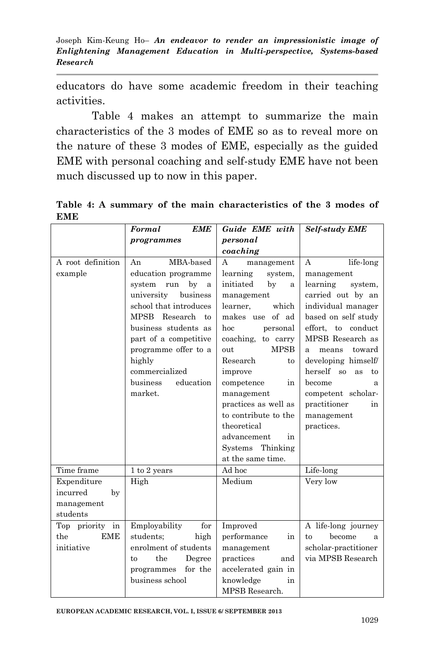educators do have some academic freedom in their teaching activities.

Table 4 makes an attempt to summarize the main characteristics of the 3 modes of EME so as to reveal more on the nature of these 3 modes of EME, especially as the guided EME with personal coaching and self-study EME have not been much discussed up to now in this paper.

**Table 4: A summary of the main characteristics of the 3 modes of EME**

|                        | Formal<br><b>EME</b>         | Guide EME with              | <b>Self-study EME</b>                       |
|------------------------|------------------------------|-----------------------------|---------------------------------------------|
|                        | programmes                   | personal                    |                                             |
|                        |                              | coaching                    |                                             |
| A root definition      | MBA-based<br>An              | A<br>management             | life-long<br>A                              |
| example                | education programme          | learning<br>system,         | management                                  |
|                        | system<br>by<br>run<br>a     | initiated<br>by<br>a        | learning<br>system,                         |
|                        | university<br>business       | management                  | carried out by an                           |
|                        | school that introduces       | learner.<br>which           | individual manager                          |
|                        | MPSB Research<br>to          | makes use of ad             | based on self study                         |
|                        | business students as         | hoc<br>personal             | effort, to conduct                          |
|                        | part of a competitive        | coaching, to carry          | MPSB Research as                            |
|                        | programme offer to a         | <b>MPSB</b><br>out          | toward<br>means<br>a                        |
|                        | highly                       | Research<br>to              | developing himself/                         |
|                        | commercialized               | improve                     | herself<br><sub>so</sub><br><b>as</b><br>to |
|                        | <b>business</b><br>education | competence<br>in            | become<br>a                                 |
|                        | market.                      | management                  | competent scholar-                          |
|                        |                              | practices as well as        | practitioner<br>in                          |
|                        |                              | to contribute to the        | management                                  |
|                        |                              | theoretical                 | practices.                                  |
|                        |                              | advancement<br>in           |                                             |
|                        |                              | Systems Thinking            |                                             |
| Time frame             |                              | at the same time.<br>Ad hoc |                                             |
|                        | 1 to 2 years                 | Medium                      | Life-long                                   |
| Expenditure            | High                         |                             | Very low                                    |
| incurred<br>by         |                              |                             |                                             |
| management<br>students |                              |                             |                                             |
| Top priority in        | Employability<br>for         | Improved                    | A life-long journey                         |
| <b>EME</b><br>the      | students;<br>high            | performance<br>in           | become<br>to<br>a                           |
| initiative             | enrolment of students        | management                  | scholar-practitioner                        |
|                        | the<br>Degree<br>to          | practices<br>and            | via MPSB Research                           |
|                        | for the<br>programmes        | accelerated gain in         |                                             |
|                        | business school              | knowledge<br>in             |                                             |
|                        |                              | MPSB Research.              |                                             |

**EUROPEAN ACADEMIC RESEARCH, VOL. I, ISSUE 6/ SEPTEMBER 2013**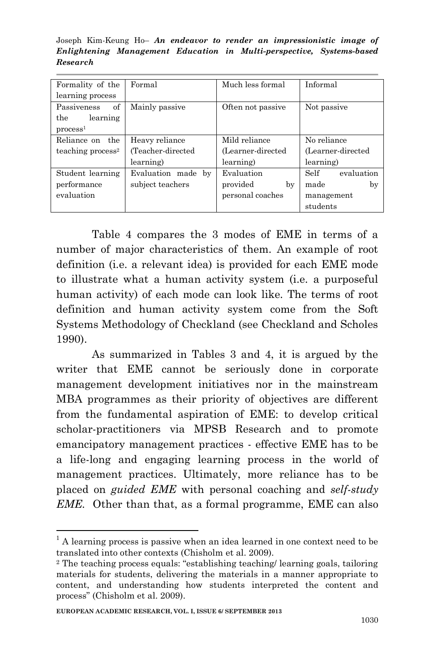Joseph Kim-Keung Ho– *An endeavor to render an impressionistic image of Enlightening Management Education in Multi-perspective, Systems-based Research*

| Formality of the     | Formal             | Much less formal  | Informal           |
|----------------------|--------------------|-------------------|--------------------|
| learning process     |                    |                   |                    |
| of<br>Passiveness    | Mainly passive     | Often not passive | Not passive        |
| the<br>learning      |                    |                   |                    |
| process <sup>1</sup> |                    |                   |                    |
| Reliance on the      | Heavy reliance     | Mild reliance     | No reliance        |
| teaching $process2$  | (Teacher-directed  | (Learner-directed | (Learner-directed  |
|                      | learning)          | learning)         | learning)          |
| Student learning     | Evaluation made by | Evaluation        | Self<br>evaluation |
| performance          | subject teachers   | provided<br>by    | made<br>by         |
| evaluation           |                    | personal coaches  | management         |
|                      |                    |                   | students           |

Table 4 compares the 3 modes of EME in terms of a number of major characteristics of them. An example of root definition (i.e. a relevant idea) is provided for each EME mode to illustrate what a human activity system (i.e. a purposeful human activity) of each mode can look like. The terms of root definition and human activity system come from the Soft Systems Methodology of Checkland (see Checkland and Scholes 1990).

As summarized in Tables 3 and 4, it is argued by the writer that EME cannot be seriously done in corporate management development initiatives nor in the mainstream MBA programmes as their priority of objectives are different from the fundamental aspiration of EME: to develop critical scholar-practitioners via MPSB Research and to promote emancipatory management practices - effective EME has to be a life-long and engaging learning process in the world of management practices. Ultimately, more reliance has to be placed on *guided EME* with personal coaching and *self-study EME.* Other than that, as a formal programme, EME can also

<sup>1</sup>  $1$ <sup>1</sup> A learning process is passive when an idea learned in one context need to be translated into other contexts (Chisholm et al. 2009).

<sup>2</sup> The teaching process equals: "establishing teaching/ learning goals, tailoring materials for students, delivering the materials in a manner appropriate to content, and understanding how students interpreted the content and process" (Chisholm et al. 2009).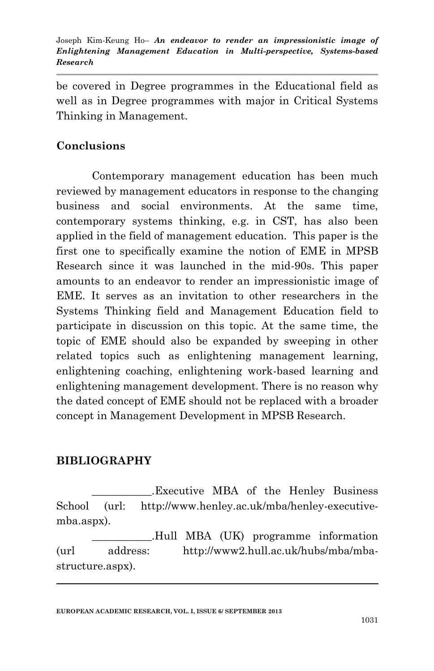be covered in Degree programmes in the Educational field as well as in Degree programmes with major in Critical Systems Thinking in Management.

## **Conclusions**

Contemporary management education has been much reviewed by management educators in response to the changing business and social environments. At the same time, contemporary systems thinking, e.g. in CST, has also been applied in the field of management education. This paper is the first one to specifically examine the notion of EME in MPSB Research since it was launched in the mid-90s. This paper amounts to an endeavor to render an impressionistic image of EME. It serves as an invitation to other researchers in the Systems Thinking field and Management Education field to participate in discussion on this topic. At the same time, the topic of EME should also be expanded by sweeping in other related topics such as enlightening management learning, enlightening coaching, enlightening work-based learning and enlightening management development. There is no reason why the dated concept of EME should not be replaced with a broader concept in Management Development in MPSB Research.

### **BIBLIOGRAPHY**

1

\_\_\_\_\_\_\_\_\_\_\_.Executive MBA of the Henley Business School (url: [http://www.henley.ac.uk/mba/henley-executive](http://www.henley.ac.uk/mba/henley-executive-mba.aspx)[mba.aspx\)](http://www.henley.ac.uk/mba/henley-executive-mba.aspx).

\_\_\_\_\_\_\_\_\_\_\_.Hull MBA (UK) programme information (url address: [http://www2.hull.ac.uk/hubs/mba/mba](http://www2.hull.ac.uk/hubs/mba/mba-structure.aspx)[structure.aspx\)](http://www2.hull.ac.uk/hubs/mba/mba-structure.aspx).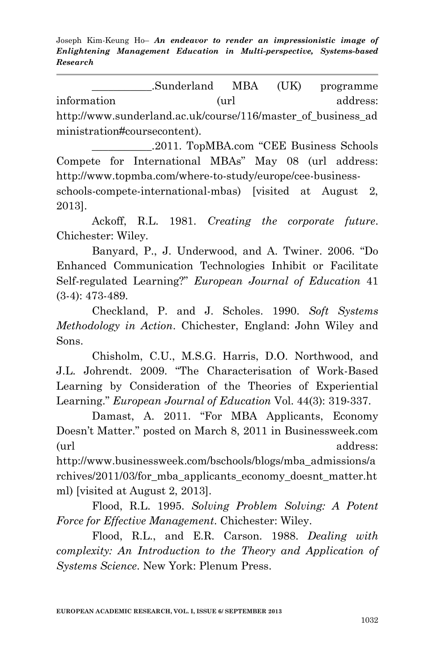\_\_\_\_\_\_\_\_\_\_\_.Sunderland MBA (UK) programme information (url address: [http://www.sunderland.ac.uk/course/116/master\\_of\\_business\\_ad](http://www.sunderland.ac.uk/course/116/master_of_business_administration#coursecontent) [ministration#coursecontent\)](http://www.sunderland.ac.uk/course/116/master_of_business_administration#coursecontent).

\_\_\_\_\_\_\_\_\_\_\_.2011. TopMBA.com "CEE Business Schools Compete for International MBAs" May 08 (url address: [http://www.topmba.com/where-to-study/europe/cee-business-](http://www.topmba.com/where-to-study/europe/cee-business-schools-compete-international-mbas)

[schools-compete-international-mbas\)](http://www.topmba.com/where-to-study/europe/cee-business-schools-compete-international-mbas) [visited at August 2, 2013].

Ackoff, R.L. 1981. *Creating the corporate future*. Chichester: Wiley.

Banyard, P., J. Underwood, and A. Twiner. 2006. "Do Enhanced Communication Technologies Inhibit or Facilitate Self-regulated Learning?" *European Journal of Education* 41 (3-4): 473-489.

Checkland, P. and J. Scholes. 1990. *Soft Systems Methodology in Action*. Chichester, England: John Wiley and Sons.

Chisholm, C.U., M.S.G. Harris, D.O. Northwood, and J.L. Johrendt. 2009. "The Characterisation of Work-Based Learning by Consideration of the Theories of Experiential Learning." *European Journal of Education* Vol. 44(3): 319-337.

Damast, A. 2011. "For MBA Applicants, Economy Doesn"t Matter." posted on March 8, 2011 in Businessweek.com (url address:

[http://www.businessweek.com/bschools/blogs/mba\\_admissions/a](http://www.businessweek.com/bschools/blogs/mba_admissions/archives/2011/03/for_mba_applicants_economy_doesnt_matter.html) [rchives/2011/03/for\\_mba\\_applicants\\_economy\\_doesnt\\_matter.ht](http://www.businessweek.com/bschools/blogs/mba_admissions/archives/2011/03/for_mba_applicants_economy_doesnt_matter.html) [ml\)](http://www.businessweek.com/bschools/blogs/mba_admissions/archives/2011/03/for_mba_applicants_economy_doesnt_matter.html) [visited at August 2, 2013].

Flood, R.L. 1995. *Solving Problem Solving: A Potent Force for Effective Management*. Chichester: Wiley.

Flood, R.L., and E.R. Carson. 1988. *Dealing with complexity: An Introduction to the Theory and Application of Systems Science*. New York: Plenum Press.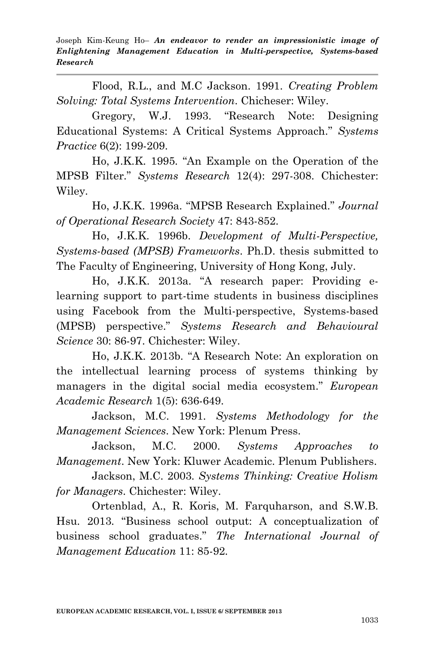Flood, R.L., and M.C Jackson. 1991. *Creating Problem Solving: Total Systems Intervention*. Chicheser: Wiley.

Gregory, W.J. 1993. "Research Note: Designing Educational Systems: A Critical Systems Approach." *Systems Practice* 6(2): 199-209.

Ho, J.K.K. 1995. "An Example on the Operation of the MPSB Filter." *Systems Research* 12(4): 297-308. Chichester: Wiley.

Ho, J.K.K. 1996a. "MPSB Research Explained." *Journal of Operational Research Society* 47: 843-852.

Ho, J.K.K. 1996b. *Development of Multi-Perspective, Systems-based (MPSB) Frameworks*. Ph.D. thesis submitted to The Faculty of Engineering, University of Hong Kong, July.

Ho, J.K.K. 2013a. "A research paper: Providing elearning support to part-time students in business disciplines using Facebook from the Multi-perspective, Systems-based (MPSB) perspective." *Systems Research and Behavioural Science* 30: 86-97. Chichester: Wiley.

Ho, J.K.K. 2013b. "A Research Note: An exploration on the intellectual learning process of systems thinking by managers in the digital social media ecosystem." *European Academic Research* 1(5): 636-649.

Jackson, M.C. 1991. *Systems Methodology for the Management Sciences*. New York: Plenum Press.

Jackson, M.C. 2000. *Systems Approaches to Management*. New York: Kluwer Academic. Plenum Publishers.

Jackson, M.C. 2003. *Systems Thinking: Creative Holism for Managers*. Chichester: Wiley.

Ortenblad, A., R. Koris, M. Farquharson, and S.W.B. Hsu. 2013. "Business school output: A conceptualization of business school graduates." *The International Journal of Management Education* 11: 85-92.